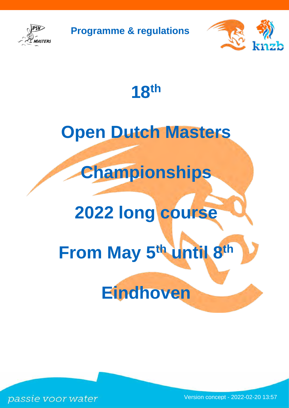

**Programme & regulations**



**18th**

# **Open Dutch Masters**

**Championships**

# **2022 long course**

# **From May 5th until 8th**

# **Eindhoven**

passie voor water

Version concept - 2022-02-20 13:57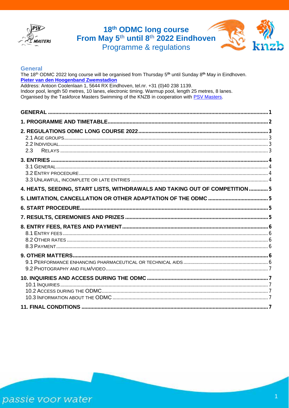

# 18<sup>th</sup> ODMC long course<br>From May 5<sup>th</sup> until 8<sup>th</sup> 2022 Eindhoven Programme & regulations



#### <span id="page-1-0"></span>**General**

The 18<sup>th</sup> ODMC 2022 long course will be organised from Thursday 5<sup>th</sup> until Sunday 8<sup>th</sup> May in Eindhoven. Pieter van den Hoogenband Zwemstadion Address: Antoon Coolenlaan 1, 5644 RX Eindhoven, tel.nr. +31 (0)40 238 1139. Indoor pool, length 50 metres, 10 lanes, electronic timing. Warmup pool, length 25 metres, 8 lanes. Organised by the Taskforce Masters Swimming of the KNZB in cooperation with PSV Masters.

| 2.3                                                                          |  |
|------------------------------------------------------------------------------|--|
|                                                                              |  |
| 4. HEATS, SEEDING, START LISTS, WITHDRAWALS AND TAKING OUT OF COMPETITION  5 |  |
|                                                                              |  |
|                                                                              |  |
|                                                                              |  |
|                                                                              |  |
|                                                                              |  |
|                                                                              |  |
|                                                                              |  |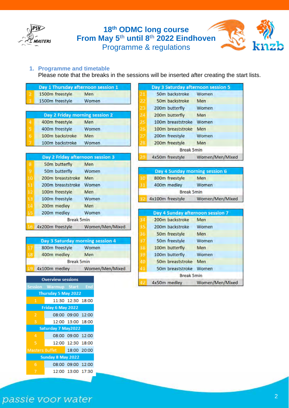

### <span id="page-2-0"></span>**1. Programme and timetable**

Please note that the breaks in the sessions will be inserted after creating the start lists.

|    | Day 1 Thursday afternoon session 1 |                 |    | Day 3 Saturday afternoon session 5 |                 |
|----|------------------------------------|-----------------|----|------------------------------------|-----------------|
|    | 1500m freestyle                    | Men             | 21 | 50m backstroke                     | Women           |
|    | 1500m freestyle                    | Women           | 22 | 50m backstroke                     | Men             |
|    |                                    |                 | 23 | 200m butterfly                     | Women           |
|    | Day 2 Friday morning session 2     |                 | 24 | 200m butterfly                     | Men             |
| 4  | 400m freestyle                     | Men             | 25 | 100m breaststroke                  | Women           |
| 5  | 400m freestyle                     | Women           | 26 | 100m breaststroke                  | Men             |
| 6  | 100m backstroke                    | Men             | 27 | 200m freestyle                     | Women           |
|    | 100m backstroke                    | Women           | 28 | 200m freestyle                     | Men             |
|    |                                    |                 |    | <b>Break 5min</b>                  |                 |
|    | Day 2 Friday afternoon session 3   |                 |    | 4x50m freestyle                    | Women/Men/Mixed |
| 8  | 50m butterfly                      | Men             |    |                                    |                 |
| 9  | 50m butterfly                      | Women           |    | Day 4 Sunday morning session 6     |                 |
| 10 | 200m breaststroke                  | Men             | 30 | 800m freestyle                     | Men             |
| 11 | 200m breaststroke                  | Women           | 31 | 400m medley                        | Women           |
| 12 | 100m freestyle                     | Men             |    | <b>Break 5min</b>                  |                 |
| 13 | 100m freestyle                     | Women           |    | 4x100m freestyle                   | Women/Men/Mixed |
| 14 | 200m medley                        | Men             |    |                                    |                 |
| 15 | 200m medley                        | Women           |    | Day 4 Sunday afternoon session 7   |                 |
|    | <b>Break 5min</b>                  |                 | 34 | 200m backstroke                    | Men             |
|    | 4x200m freestyle                   | Women/Men/Mixed | 35 | 200m backstroke                    | Women           |
|    |                                    |                 | 36 | 50m freestyle                      | Men             |
|    | Day 3 Saturday morning session 4   |                 | 37 | 50m freestyle                      | Women           |
|    | 800m freestyle                     | Women           | 38 | 100m butterfly                     | Men             |
| 18 | 400m medley                        | Men             | 39 | 100m butterfly                     | Women           |
|    | <b>Break 5min</b>                  |                 | 40 | 50m breaststroke                   | Men             |
|    | 4x100m medley                      | Women/Men/Mixed | 41 | 50m breaststroke Women             |                 |
|    |                                    |                 |    | <b>Break 5min</b>                  |                 |
|    | <b>Overview sessions</b>           |                 |    | 4x50m medlev                       | Women/Men/Mixed |

|                       | Session Warmup Start End |                   |  |  |  |  |  |  |
|-----------------------|--------------------------|-------------------|--|--|--|--|--|--|
| Thursday 5 May 2022   |                          |                   |  |  |  |  |  |  |
| 1                     |                          | 11:30 12:30 18:00 |  |  |  |  |  |  |
| Friday 6 May 2022     |                          |                   |  |  |  |  |  |  |
| $\overline{2}$        |                          | 08:00 09:00 12:00 |  |  |  |  |  |  |
| 3                     |                          | 12:00 13:00 18:00 |  |  |  |  |  |  |
| Saturday 7 May2022    |                          |                   |  |  |  |  |  |  |
| 4                     |                          | 08:00 09:00 12:00 |  |  |  |  |  |  |
| 5                     |                          | 12:00 12:30 18:00 |  |  |  |  |  |  |
| <b>Masters Buffet</b> |                          | 18:00 20:00       |  |  |  |  |  |  |
| Sunday 8 May 2022     |                          |                   |  |  |  |  |  |  |
| 6                     |                          | 08:00 09:00 12:00 |  |  |  |  |  |  |
|                       |                          | 12:00 13:00 17:30 |  |  |  |  |  |  |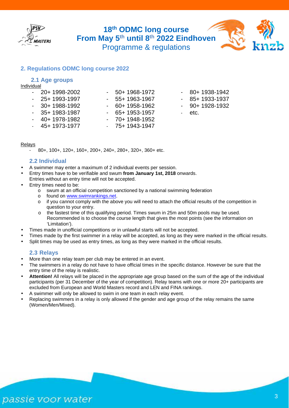

#### <span id="page-3-1"></span><span id="page-3-0"></span>**2. Regulations ODMC long course 2022**

#### **2.1 Age groups**

#### Individual

| $-20+1998-2002$ | $-50+1968-1972$ | $-80+1938-1942$ |
|-----------------|-----------------|-----------------|
| $-25+1993-1997$ | $-55+1963-1967$ | $-85+1933-1937$ |
| $-30+1988-1992$ | $-60+1958-1962$ | $-90+1928-1932$ |
| $-35+1983-1987$ | $-65+1953-1957$ | - etc.          |
| $-40+1978-1982$ | $-70+1948-1952$ |                 |
| $-45+1973-1977$ | $-75+1943-1947$ |                 |

#### <span id="page-3-2"></span>Relays

80+, 100+, 120+, 160+, 200+, 240+, 280+, 320+, 360+ etc.

#### **2.2 Individual**

- A swimmer may enter a maximum of 2 individual events per session.
- Entry times have to be verifiable and swum **from January 1st, 2018** onwards.
- Entries without an entry time will not be accepted.
- Entry times need to be:
	- o swum at an official competition sanctioned by a national swimming federation<br>contound on www.swimrankings.net.
	- found on [www.swimrankings.net.](https://www.swimrankings.net/)
	- if you cannot comply with the above you will need to attach the official results of the competition in question to your entry.
	- o the fastest time of this qualifying period. Times swum in 25m and 50m pools may be used. Recommended is to choose the course length that gives the most points (see the information on 'Limitation').
- Times made in unofficial competitions or in unlawful starts will not be accepted.
- Times made by the first swimmer in a relay will be accepted, as long as they were marked in the official results.
- <span id="page-3-3"></span>Split times may be used as entry times, as long as they were marked in the official results.

#### **2.3 Relays**

- More than one relay team per club may be entered in an event.
- The swimmers in a relay do not have to have official times in the specific distance. However be sure that the entry time of the relay is realistic.
- **Attention!** All relays will be placed in the appropriate age group based on the sum of the age of the individual participants (per 31 December of the year of competition). Relay teams with one or more 20+ participants are excluded from European and World Masters record and LEN and FINA rankings.
- A swimmer will only be allowed to swim in one team in each relay event.
- Replacing swimmers in a relay is only allowed if the gender and age group of the relay remains the same (Women/Men/Mixed).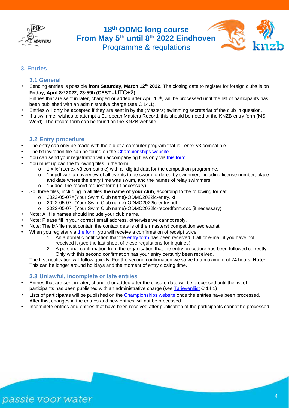



#### <span id="page-4-1"></span><span id="page-4-0"></span>**3. Entries**

#### **3.1 General**

- Sending entries is possible **from Saturday, March 12th 2022**. The closing date to register for foreign clubs is on **Friday, April 8th 2022, 23:59h (CEST - UTC+2)**
- Entries that are sent in later, changed or added after April  $10<sup>th</sup>$ , will be processed until the list of participants has been published with an administrative charge (see C 14.1).
- Entries will only be accepted if they are sent in by the (Masters) swimming secretariat of the club in question.
- If a swimmer wishes to attempt a European Masters Record, this should be noted at the KNZB entry form (MS Word). The record form can be found on the KNZB [website.](https://www.knzb.nl/english/open_dutch_masters_championships_long_course/)

#### <span id="page-4-2"></span>**3.2 Entry procedure**

- The entry can only be made with the aid of a computer program that is Lenex v3 compatible.
- The lxf invitation file can be found on the [Championships website.](https://mastersprint.nl/odmc2022lc/?lang=en)
- You can send your registration with accompanying files only via [this form](https://www.formdesk.com/knzb/entriesODMC)
- You must upload the following files in the form:
	- o 1 x lxf (Lenex v3 compatible) with all digital data for the competition programme.<br>  $\circ$  1 x pdf with an overview of all events to be swum, ordered by swimmer, including
	- 1 x pdf with an overview of all events to be swum, ordered by swimmer, including license number, place and date where the entry time was swum, and the names of relay swimmers.
	- o 1 x doc, the record request form (if necessary).
- So, three files, including in all files **the name of your club**, according to the following format:
	- o 2022-05-07=(Your Swim Club name)-ODMC2022lc-entry.lxf
	- o 2022-05-07=(Your Swim Club name)-ODMC2022lc-entry.pdf<br>○ 2022-05-07=(Your Swim Club name)-ODMC2022lc-recordfor
	- 2022-05-07=(Your Swim Club name)-ODMC2022lc-recordform.doc (if necessary)
- Note: All file names should include your club name.
- Note: Please fill in your correct email address, otherwise we cannot reply.
- Note: The lxf-file must contain the contact details of the (masters) competition secretariat.
- When you register via [the form,](https://www.formdesk.com/knzb/entriesODMC) you will receive a confirmation of receipt twice:
	- 1. An automatic notification that the [entry form](https://www.formdesk.com/knzb/entriesODMC) has been received. Call or e-mail if you have not received it (see the last sheet of these regulations for inquiries).
	- 2. A personal confirmation from the organisation that the entry procedure has been followed correctly. Only with this second confirmation has your entry certainly been received.

The first notification will follow quickly. For the second confirmation we strive to a maximum of 24 hours. **Note:** This can be longer around holidays and the moment of entry closing time.

#### <span id="page-4-3"></span>**3.3 Unlawful, incomplete or late entries**

- Entries that are sent in later, changed or added after the closure date will be processed until the list of participants has been published with an administrative charge (see [Tarievenlijst](https://www.knzb.nl/vereniging__wedstrijdsport/bestuur__organisatie/beleid__organisatie/contributie__tarieven/) C 14.1)
- Lists of participants will be published on the [Championships website](https://mastersprint.nl/odmc2022lc/?lang=en) once the entries have been processed. After this, changes in the entries and new entries will not be processed.
- Incomplete entries and entries that have been received after publication of the participants cannot be processed.

passie voor water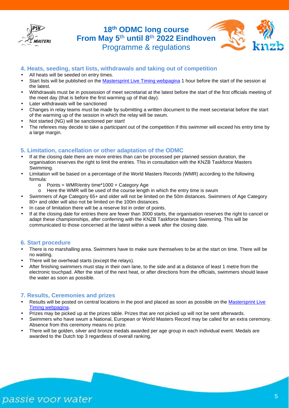



#### <span id="page-5-0"></span>**4. Heats, seeding, start lists, withdrawals and taking out of competition**

- All heats will be seeded on entry times.
- Start lists will be published on the [Mastersprint Live Timing webpagina](https://mastersprint.nl/live) 1 hour before the start of the session at the latest.
- Withdrawals must be in possession of meet secretariat at the latest before the start of the first officials meeting of the meet day (that is before the first warming up of that day).
- Later withdrawals will be sanctioned
- Changes in relay teams must be made by submitting a written document to the meet secretariat before the start of the warming up of the session in which the relay will be swum.
- Not started (NG) will be sanctioned per start!
- <span id="page-5-1"></span>The referees may decide to take a participant out of the competition if this swimmer will exceed his entry time by a large margin.

#### **5. Limitation, cancellation or other adaptation of the ODMC**

- If at the closing date there are more entries than can be processed per planned session duration, the organisation reserves the right to limit the entries. This in consultation with the KNZB Taskforce Masters Swimming.
- Limitation will be based on a percentage of the World Masters Records (WMR) according to the following formula:
	- o Points = WMR/entry time\*1000 + Category Age
	- o Here the WMR will be used of the course length in which the entry time is swum
- Swimmers of Age Category 65+ and older will not be limited on the 50m distances. Swimmers of Age Category 80+ and older will also not be limited on the 100m distances.
- In case of limitation there will be a reserve list in order of points.
- If at the closing date for entries there are fewer than 3000 starts, the organisation reserves the right to cancel or adapt these championships, after conferring with the KNZB Taskforce Masters Swimming. This will be communicated to those concerned at the latest within a week after the closing date.

#### <span id="page-5-2"></span>**6. Start procedure**

- There is no marshalling area. Swimmers have to make sure themselves to be at the start on time. There will be no waiting.
- There will be overhead starts (except the relays).
- After finishing swimmers must stay in their own lane, to the side and at a distance of least 1 metre from the electronic touchpad. After the start of the next heat, or after directions from the officials, swimmers should leave the water as soon as possible.

#### <span id="page-5-3"></span>**7. Results, Ceremonies and prizes**

- Results will be posted on central locations in the pool and placed as soon as possible on the [Mastersprint Live](https://mastersprint.nl/live)  [Timing webpagina.](https://mastersprint.nl/live)
- Prizes may be picked up at the prizes table. Prizes that are not picked up will not be sent afterwards.
- Swimmers who have swum a National, European or World Masters Record may be called for an extra ceremony. Absence from this ceremony means no prize.
- There will be golden, silver and bronze medals awarded per age group in each individual event. Medals are awarded to the Dutch top 3 regardless of overall ranking.

# passie voor water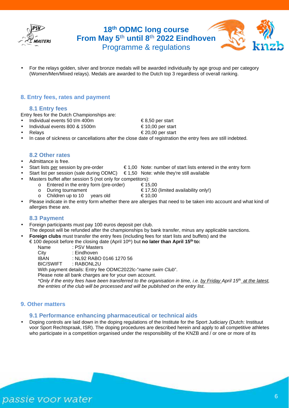



#### <span id="page-6-1"></span><span id="page-6-0"></span>**8. Entry fees, rates and payment**

#### **8.1 Entry fees**

Entry fees for the Dutch Championships are:

- Individual events 50 t/m 400m  $68,50$  per start
- Individual events 800 & 1500m  $\epsilon$  10,00 per start
- Relays  $\epsilon$  20.00 per start
- <span id="page-6-2"></span>In case of sickness or cancellations after the close date of registration the entry fees are still indebted.

#### **8.2 Other rates**

- Admittance is free.
- Start lists per session by pre-order  $\epsilon$  1,00 Note: number of start lists entered in the entry form
- Start list per session (sale during ODMC)  $\epsilon$  1.50 Note: while they're still available
- Masters buffet after session 5 (not only for competitors):<br>  $\circ$  Entered in the entry form (pre-order)  $\epsilon$  15.00
	-
	- o Entered in the entry form (pre-order)<br>  **During tournament**
- 
- $\epsilon$  17,50 (limited availability only!)<br>vears old  $\epsilon$  10.00  $\circ$  Children up to 10
- <span id="page-6-3"></span>Please indicate in the entry form whether there are allergies that need to be taken into account and what kind of allergies these are.

#### **8.3 Payment**

- Foreign participants must pay 100 euros deposit per club. The deposit will be refunded after the championships by bank transfer, minus any applicable sanctions.
- **Foreign clubs** must transfer the entry fees (including fees for start lists and buffets) and the
- € 100 deposit before the closing date (April 10th) but **no later than April 15th to:**
	- Name : PSV Masters
	- City : Eindhoven<br>
	IBAN NI 92 RAB
	- IBAN : NL92 RABO 0146 1270 56<br>BIC/SWIFT : RABONL2U
	- : RABONL2U

With payment details: Entry fee ODMC2022lc-"*name swim Club*".

Please note all bank charges are for your own account.

*\*Only if the entry fees have been transferred to the organisation in time, i.e. by Friday April 15th at the latest, the entries of the club will be processed and will be published on the entry list.* 

#### <span id="page-6-5"></span><span id="page-6-4"></span>**9. Other matters**

#### **9.1 Performance enhancing pharmaceutical or technical aids**

Doping controls are laid down in the doping regulations of the Institute for the Sport Judiciary (Dutch: Instituut voor Sport Rechtspraak, ISR). The doping procedures are described herein and apply to all competitive athletes who participate in a competition organised under the responsibility of the KNZB and / or one or more of its